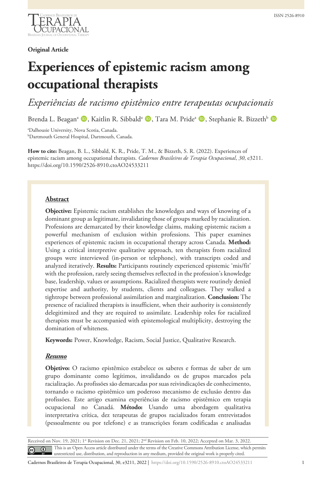

## **Original Article**

# **Experiences of epistemic racism among occupational therapists**

*Experiências de racismo epistêmico entre terapeutas ocupacionais* 

Brenda L. Beagan<sup>a</sup> (D, Kaitlin R. Sibbald<sup>a</sup> (D, Tara M. Pride<sup>a</sup> (D, Stephanie R. Bizzeth<sup>b</sup> (D)

a Dalhousie University, Nova Scotia, Canada. b Dartmouth General Hospital, Dartmouth, Canada.

**How to cite:** Beagan, B. L., Sibbald, K. R., Pride, T. M., & Bizzeth, S. R. (2022). Experiences of epistemic racism among occupational therapists. *Cadernos Brasileiros de Terapia Ocupacional*, *30*, e3211. https://doi.org/10.1590/2526-8910.ctoAO24533211

# **Abstract**

**Objective:** Epistemic racism establishes the knowledges and ways of knowing of a dominant group as legitimate, invalidating those of groups marked by racialization. Professions are demarcated by their knowledge claims, making epistemic racism a powerful mechanism of exclusion within professions. This paper examines experiences of epistemic racism in occupational therapy across Canada. **Method:** Using a critical interpretive qualitative approach, ten therapists from racialized groups were interviewed (in-person or telephone), with transcripts coded and analyzed iteratively. **Results:** Participants routinely experienced epistemic 'mis/fit' with the profession, rarely seeing themselves reflected in the profession's knowledge base, leadership, values or assumptions. Racialized therapists were routinely denied expertise and authority, by students, clients and colleagues. They walked a tightrope between professional assimilation and marginalization. **Conclusion:** The presence of racialized therapists is insufficient, when their authority is consistently delegitimized and they are required to assimilate. Leadership roles for racialized therapists must be accompanied with epistemological multiplicity, destroying the domination of whiteness.

**Keywords:** Power, Knowledge, Racism, Social Justice, Qualitative Research.

# *Resumo*

**Objetivo:** O racismo epistêmico estabelece os saberes e formas de saber de um grupo dominante como legítimos, invalidando os de grupos marcados pela racialização. As profissões são demarcadas por suas reivindicações de conhecimento, tornando o racismo epistêmico um poderoso mecanismo de exclusão dentro das profissões. Este artigo examina experiências de racismo epistêmico em terapia ocupacional no Canadá. **Método:** Usando uma abordagem qualitativa interpretativa crítica, dez terapeutas de grupos racializados foram entrevistados (pessoalmente ou por telefone) e as transcrições foram codificadas e analisadas

Received on Nov. 19, 2021; 1<sup>st</sup> Revision on Dec. 21, 2021; 2<sup>nd</sup> Revision on Feb. 10, 2022; Accepted on Mar. 3, 2022. This is an Open Access article distributed under the terms of the Creative Commons Attribution License, which permits  $\odot$  $\left(\mathrm{cc}\right)$ unrestricted use, distribution, and reproduction in any medium, provided the original work is properly cited.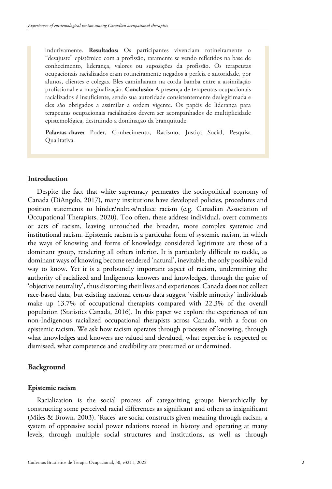indutivamente. **Resultados:** Os participantes vivenciam rotineiramente o "desajuste" epistêmico com a profissão, raramente se vendo refletidos na base de conhecimento, liderança, valores ou suposições da profissão. Os terapeutas ocupacionais racializados eram rotineiramente negados a perícia e autoridade, por alunos, clientes e colegas. Eles caminharam na corda bamba entre a assimilação profissional e a marginalização. **Conclusão:** A presença de terapeutas ocupacionais racializados é insuficiente, sendo sua autoridade consistentemente deslegitimada e eles são obrigados a assimilar a ordem vigente. Os papéis de liderança para terapeutas ocupacionais racializados devem ser acompanhados de multiplicidade epistemológica, destruindo a dominação da branquitude.

**Palavras-chave:** Poder, Conhecimento, Racismo, Justiça Social, Pesquisa Qualitativa.

# **Introduction**

Despite the fact that white supremacy permeates the sociopolitical economy of Canada (DiAngelo, 2017), many institutions have developed policies, procedures and position statements to hinder/redress/reduce racism (e.g. Canadian Association of Occupational Therapists, 2020). Too often, these address individual, overt comments or acts of racism, leaving untouched the broader, more complex systemic and institutional racism. Epistemic racism is a particular form of systemic racism, in which the ways of knowing and forms of knowledge considered legitimate are those of a dominant group, rendering all others inferior. It is particularly difficult to tackle, as dominant ways of knowing become rendered 'natural', inevitable, the only possible valid way to know. Yet it is a profoundly important aspect of racism, undermining the authority of racialized and Indigenous knowers and knowledges, through the guise of 'objective neutrality', thus distorting their lives and experiences. Canada does not collect race-based data, but existing national census data suggest 'visible minority' individuals make up 13.7% of occupational therapists compared with 22.3% of the overall population (Statistics Canada, 2016). In this paper we explore the experiences of ten non-Indigenous racialized occupational therapists across Canada, with a focus on epistemic racism. We ask how racism operates through processes of knowing, through what knowledges and knowers are valued and devalued, what expertise is respected or dismissed, what competence and credibility are presumed or undermined.

## **Background**

## **Epistemic racism**

Racialization is the social process of categorizing groups hierarchically by constructing some perceived racial differences as significant and others as insignificant (Miles & Brown, 2003). 'Races' are social constructs given meaning through racism, a system of oppressive social power relations rooted in history and operating at many levels, through multiple social structures and institutions, as well as through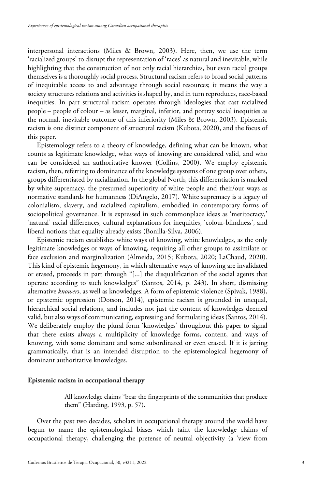interpersonal interactions (Miles & Brown, 2003). Here, then, we use the term 'racialized groups' to disrupt the representation of 'races' as natural and inevitable, while highlighting that the construction of not only racial hierarchies, but even racial groups themselves is a thoroughly social process. Structural racism refers to broad social patterns of inequitable access to and advantage through social resources; it means the way a society structures relations and activities is shaped by, and in turn reproduces, race-based inequities. In part structural racism operates through ideologies that cast racialized people – people of colour – as lesser, marginal, inferior, and portray social inequities as the normal, inevitable outcome of this inferiority (Miles & Brown, 2003). Epistemic racism is one distinct component of structural racism (Kubota, 2020), and the focus of this paper.

Epistemology refers to a theory of knowledge, defining what can be known, what counts as legitimate knowledge, what ways of knowing are considered valid, and who can be considered an authoritative knower (Collins, 2000). We employ epistemic racism, then, referring to dominance of the knowledge systems of one group over others, groups differentiated by racialization. In the global North, this differentiation is marked by white supremacy, the presumed superiority of white people and their/our ways as normative standards for humanness (DiAngelo, 2017). White supremacy is a legacy of colonialism, slavery, and racialized capitalism, embodied in contemporary forms of sociopolitical governance. It is expressed in such commonplace ideas as 'meritocracy,' 'natural' racial differences, cultural explanations for inequities, 'colour-blindness', and liberal notions that equality already exists (Bonilla-Silva, 2006).

Epistemic racism establishes white ways of knowing, white knowledges, as the only legitimate knowledges or ways of knowing, requiring all other groups to assimilate or face exclusion and marginalization (Almeida, 2015; Kubota, 2020; LaChaud, 2020). This kind of epistemic hegemony, in which alternative ways of knowing are invalidated or erased, proceeds in part through "[...] the disqualification of the social agents that operate according to such knowledges" (Santos, 2014, p. 243). In short, dismissing alternative *knowers*, as well as knowledges. A form of epistemic violence (Spivak, 1988), or epistemic oppression (Dotson, 2014), epistemic racism is grounded in unequal, hierarchical social relations, and includes not just the content of knowledges deemed valid, but also ways of communicating, expressing and formulating ideas (Santos, 2014). We deliberately employ the plural form 'knowledges' throughout this paper to signal that there exists always a multiplicity of knowledge forms, content, and ways of knowing, with some dominant and some subordinated or even erased. If it is jarring grammatically, that is an intended disruption to the epistemological hegemony of dominant authoritative knowledges.

### **Epistemic racism in occupational therapy**

All knowledge claims "bear the fingerprints of the communities that produce them" (Harding, 1993, p. 57).

Over the past two decades, scholars in occupational therapy around the world have begun to name the epistemological biases which taint the knowledge claims of occupational therapy, challenging the pretense of neutral objectivity (a 'view from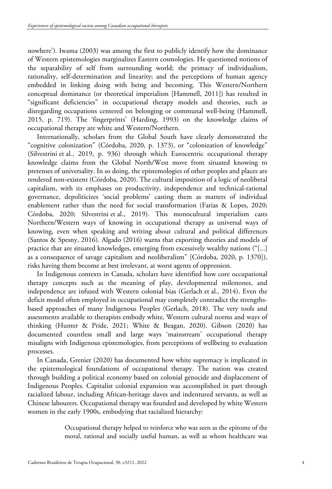nowhere'). Iwama (2003) was among the first to publicly identify how the dominance of Western epistemologies marginalizes Eastern cosmologies. He questioned notions of the separability of self from surrounding world; the primacy of individualism, rationality, self-determination and linearity; and the perceptions of human agency embedded in linking doing with being and becoming. This Western/Northern conceptual dominance (or theoretical imperialism [Hammell, 2011]) has resulted in "significant deficiencies" in occupational therapy models and theories, such as disregarding occupations centered on belonging or communal well-being (Hammell, 2015, p. 719). The 'fingerprints' (Harding, 1993) on the knowledge claims of occupational therapy are white and Western/Northern.

Internationally, scholars from the Global South have clearly demonstrated the "cognitive colonization" (Córdoba, 2020, p. 1373), or "colonization of knowledge" (Silvestrini et al., 2019, p. 936) through which Eurocentric occupational therapy knowledge claims from the Global North/West move from situated knowing to pretenses of universality. In so doing, the epistemologies of other peoples and places are rendered non-existent (Córdoba, 2020). The cultural imposition of a logic of neoliberal capitalism, with its emphases on productivity, independence and technical-rational governance, depoliticizes 'social problems' casting them as matters of individual enablement rather than the need for social transformation (Farias & Lopes, 2020; Córdoba, 2020; Silvestrini et al., 2019). This monocultural imperialism casts Northern/Western ways of knowing in occupational therapy as universal ways of knowing, even when speaking and writing about cultural and political differences (Santos & Spesny, 2016). Algado (2016) warns that exporting theories and models of practice that are situated knowledges, emerging from excessively wealthy nations ("[...] as a consequence of savage capitalism and neoliberalism" [Córdoba, 2020, p. 1370]), risks having them become at best irrelevant, at worst agents of oppression.

In Indigenous contexts in Canada, scholars have identified how core occupational therapy concepts such as the meaning of play, developmental milestones, and independence are infused with Western colonial bias (Gerlach et al., 2014). Even the deficit model often employed in occupational may completely contradict the strengthsbased approaches of many Indigenous Peoples (Gerlach, 2018). The very tools and assessments available to therapists embody white, Western cultural norms and ways of thinking (Hunter & Pride, 2021; White & Beagan, 2020). Gibson (2020) has documented countless small and large ways 'mainstream' occupational therapy misaligns with Indigenous epistemologies, from perceptions of wellbeing to evaluation processes.

In Canada, Grenier (2020) has documented how white supremacy is implicated in the epistemological foundations of occupational therapy. The nation was created through building a political economy based on colonial genocide and displacement of Indigenous Peoples. Capitalist colonial expansion was accomplished in part through racialized labour, including African-heritage slaves and indentured servants, as well as Chinese labourers. Occupational therapy was founded and developed by white Western women in the early 1900s, embodying that racialized hierarchy:

> Occupational therapy helped to reinforce who was seen as the epitome of the moral, rational and socially useful human, as well as whom healthcare was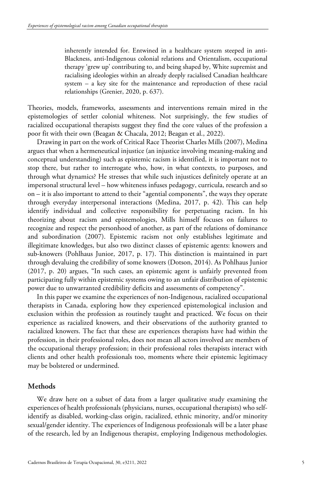inherently intended for. Entwined in a healthcare system steeped in anti-Blackness, anti-Indigenous colonial relations and Orientalism, occupational therapy 'grew up' contributing to, and being shaped by, White supremist and racialising ideologies within an already deeply racialised Canadian healthcare system – a key site for the maintenance and reproduction of these racial relationships (Grenier, 2020, p. 637).

Theories, models, frameworks, assessments and interventions remain mired in the epistemologies of settler colonial whiteness. Not surprisingly, the few studies of racialized occupational therapists suggest they find the core values of the profession a poor fit with their own (Beagan & Chacala, 2012; Beagan et al., 2022).

Drawing in part on the work of Critical Race Theorist Charles Mills (2007), Medina argues that when a hermeneutical injustice (an injustice involving meaning-making and conceptual understanding) such as epistemic racism is identified, it is important not to stop there, but rather to interrogate who, how, in what contexts, to purposes, and through what dynamics? He stresses that while such injustices definitely operate at an impersonal structural level – how whiteness infuses pedagogy, curricula, research and so on – it is also important to attend to their "agential components", the ways they operate through everyday interpersonal interactions (Medina, 2017, p. 42). This can help identify individual and collective responsibility for perpetuating racism. In his theorizing about racism and epistemologies, Mills himself focuses on failures to recognize and respect the personhood of another, as part of the relations of dominance and subordination (2007). Epistemic racism not only establishes legitimate and illegitimate knowledges, but also two distinct classes of epistemic agents: knowers and sub-knowers (Pohlhaus Junior, 2017, p. 17). This distinction is maintained in part through devaluing the credibility of some knowers (Dotson, 2014). As Pohlhaus Junior (2017, p. 20) argues, "In such cases, an epistemic agent is unfairly prevented from participating fully within epistemic systems owing to an unfair distribution of epistemic power due to unwarranted credibility deficits and assessments of competency".

In this paper we examine the experiences of non-Indigenous, racialized occupational therapists in Canada, exploring how they experienced epistemological inclusion and exclusion within the profession as routinely taught and practiced. We focus on their experience as racialized knowers, and their observations of the authority granted to racialized knowers. The fact that these are experiences therapists have had within the profession, in their professional roles, does not mean all actors involved are members of the occupational therapy profession; in their professional roles therapists interact with clients and other health professionals too, moments where their epistemic legitimacy may be bolstered or undermined.

# **Methods**

We draw here on a subset of data from a larger qualitative study examining the experiences of health professionals (physicians, nurses, occupational therapists) who selfidentify as disabled, working-class origin, racialized, ethnic minority, and/or minority sexual/gender identity. The experiences of Indigenous professionals will be a later phase of the research, led by an Indigenous therapist, employing Indigenous methodologies.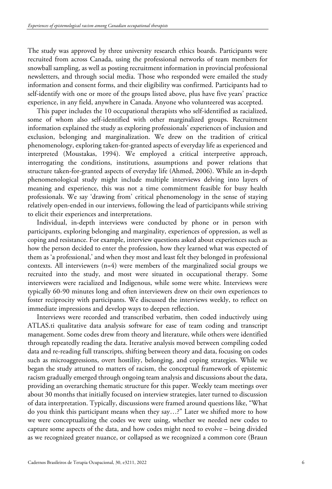The study was approved by three university research ethics boards. Participants were recruited from across Canada, using the professional networks of team members for snowball sampling, as well as posting recruitment information in provincial professional newsletters, and through social media. Those who responded were emailed the study information and consent forms, and their eligibility was confirmed. Participants had to self-identify with one or more of the groups listed above, plus have five years' practice experience, in any field, anywhere in Canada. Anyone who volunteered was accepted.

This paper includes the 10 occupational therapists who self-identified as racialized, some of whom also self-identified with other marginalized groups. Recruitment information explained the study as exploring professionals' experiences of inclusion and exclusion, belonging and marginalization. We drew on the tradition of critical phenomenology, exploring taken-for-granted aspects of everyday life as experienced and interpreted (Moustakas, 1994). We employed a critical interpretive approach, interrogating the conditions, institutions, assumptions and power relations that structure taken-for-granted aspects of everyday life (Ahmed, 2006). While an in-depth phenomenological study might include multiple interviews delving into layers of meaning and experience, this was not a time commitment feasible for busy health professionals. We say 'drawing from' critical phenomenology in the sense of staying relatively open-ended in our interviews, following the lead of participants while striving to elicit their experiences and interpretations.

Individual, in-depth interviews were conducted by phone or in person with participants, exploring belonging and marginality, experiences of oppression, as well as coping and resistance. For example, interview questions asked about experiences such as how the person decided to enter the profession, how they learned what was expected of them as 'a professional,' and when they most and least felt they belonged in professional contexts. All interviewers (n=4) were members of the marginalized social groups we recruited into the study, and most were situated in occupational therapy. Some interviewers were racialized and Indigenous, while some were white. Interviews were typically 60-90 minutes long and often interviewers drew on their own experiences to foster reciprocity with participants. We discussed the interviews weekly, to reflect on immediate impressions and develop ways to deepen reflection.

Interviews were recorded and transcribed verbatim, then coded inductively using ATLAS.ti qualitative data analysis software for ease of team coding and transcript management. Some codes drew from theory and literature, while others were identified through repeatedly reading the data. Iterative analysis moved between compiling coded data and re-reading full transcripts, shifting between theory and data, focusing on codes such as microaggressions, overt hostility, belonging, and coping strategies. While we began the study attuned to matters of racism, the conceptual framework of epistemic racism gradually emerged through ongoing team analysis and discussions about the data, providing an overarching thematic structure for this paper. Weekly team meetings over about 30 months that initially focused on interview strategies, later turned to discussion of data interpretation. Typically, discussions were framed around questions like, "What do you think this participant means when they say…?" Later we shifted more to how we were conceptualizing the codes we were using, whether we needed new codes to capture some aspects of the data, and how codes might need to evolve – being divided as we recognized greater nuance, or collapsed as we recognized a common core (Braun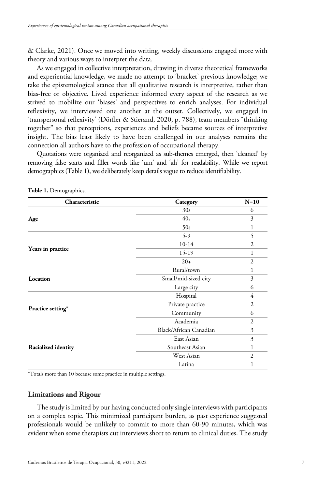& Clarke, 2021). Once we moved into writing, weekly discussions engaged more with theory and various ways to interpret the data.

As we engaged in collective interpretation, drawing in diverse theoretical frameworks and experiential knowledge, we made no attempt to 'bracket' previous knowledge; we take the epistemological stance that all qualitative research is interpretive, rather than bias-free or objective. Lived experience informed every aspect of the research as we strived to mobilize our 'biases' and perspectives to enrich analyses. For individual reflexivity, we interviewed one another at the outset. Collectively, we engaged in 'transpersonal reflexivity' (Dörfler & Stierand, 2020, p. 788), team members "thinking together" so that perceptions, experiences and beliefs became sources of interpretive insight. The bias least likely to have been challenged in our analyses remains the connection all authors have to the profession of occupational therapy.

Quotations were organized and reorganized as sub-themes emerged, then 'cleaned' by removing false starts and filler words like 'um' and 'ah' for readability. While we report demographics (Table 1), we deliberately keep details vague to reduce identifiability.

| Characteristic      | Category               | $N=10$         |
|---------------------|------------------------|----------------|
| Age                 | 30s                    | 6              |
|                     | 40s                    | 3              |
|                     | 50s                    | 1              |
| Years in practice   | $5-9$                  | 5              |
|                     | $10-14$                | $\overline{2}$ |
|                     | 15-19                  | 1              |
|                     | $20+$                  | $\overline{2}$ |
| Location            | Rural/town             | 1              |
|                     | Small/mid-sized city   | 3              |
|                     | Large city             | 6              |
| Practice setting*   | Hospital               | $\overline{4}$ |
|                     | Private practice       | 2              |
|                     | Community              | 6              |
|                     | Academia               | $\overline{2}$ |
| Racialized identity | Black/African Canadian | 3              |
|                     | East Asian             | 3              |
|                     | Southeast Asian        | 1              |
|                     | West Asian             | $\overline{2}$ |
|                     | Latina                 |                |

**Table 1.** Demographics.

\*Totals more than 10 because some practice in multiple settings.

## **Limitations and Rigour**

The study is limited by our having conducted only single interviews with participants on a complex topic. This minimized participant burden, as past experience suggested professionals would be unlikely to commit to more than 60-90 minutes, which was evident when some therapists cut interviews short to return to clinical duties. The study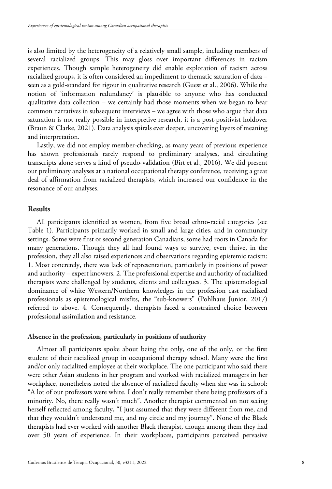is also limited by the heterogeneity of a relatively small sample, including members of several racialized groups. This may gloss over important differences in racism experiences. Though sample heterogeneity did enable exploration of racism across racialized groups, it is often considered an impediment to thematic saturation of data – seen as a gold-standard for rigour in qualitative research (Guest et al., 2006). While the notion of 'information redundancy' is plausible to anyone who has conducted qualitative data collection – we certainly had those moments when we began to hear common narratives in subsequent interviews – we agree with those who argue that data saturation is not really possible in interpretive research, it is a post-positivist holdover (Braun & Clarke, 2021). Data analysis spirals ever deeper, uncovering layers of meaning and interpretation.

Lastly, we did not employ member-checking, as many years of previous experience has shown professionals rarely respond to preliminary analyses, and circulating transcripts alone serves a kind of pseudo-validation (Birt et al., 2016). We did present our preliminary analyses at a national occupational therapy conference, receiving a great deal of affirmation from racialized therapists, which increased our confidence in the resonance of our analyses.

## **Results**

All participants identified as women, from five broad ethno-racial categories (see Table 1). Participants primarily worked in small and large cities, and in community settings. Some were first or second generation Canadians, some had roots in Canada for many generations. Though they all had found ways to survive, even thrive, in the profession, they all also raised experiences and observations regarding epistemic racism: 1. Most concretely, there was lack of representation, particularly in positions of power and authority – expert knowers. 2. The professional expertise and authority of racialized therapists were challenged by students, clients and colleagues. 3. The epistemological dominance of white Western/Northern knowledges in the profession cast racialized professionals as epistemological misfits, the "sub-knowers" (Pohlhaus Junior, 2017) referred to above. 4. Consequently, therapists faced a constrained choice between professional assimilation and resistance.

## **Absence in the profession, particularly in positions of authority**

Almost all participants spoke about being the only, one of the only, or the first student of their racialized group in occupational therapy school. Many were the first and/or only racialized employee at their workplace. The one participant who said there were other Asian students in her program and worked with racialized managers in her workplace, nonetheless noted the absence of racialized faculty when she was in school: "A lot of our professors were white. I don't really remember there being professors of a minority. No, there really wasn't much". Another therapist commented on not seeing herself reflected among faculty, "I just assumed that they were different from me, and that they wouldn't understand me, and my circle and my journey". None of the Black therapists had ever worked with another Black therapist, though among them they had over 50 years of experience. In their workplaces, participants perceived pervasive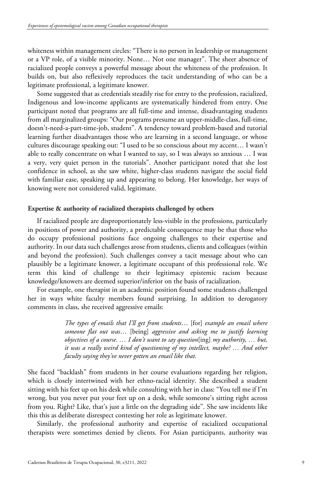whiteness within management circles: "There is no person in leadership or management or a VP role, of a visible minority. None… Not one manager". The sheer absence of racialized people conveys a powerful message about the whiteness of the profession. It builds on, but also reflexively reproduces the tacit understanding of who can be a legitimate professional, a legitimate knower.

Some suggested that as credentials steadily rise for entry to the profession, racialized, Indigenous and low-income applicants are systematically hindered from entry. One participant noted that programs are all full-time and intense, disadvantaging students from all marginalized groups: "Our programs presume an upper-middle-class, full-time, doesn't-need-a-part-time-job, student". A tendency toward problem-based and tutorial learning further disadvantages those who are learning in a second language, or whose cultures discourage speaking out: "I used to be so conscious about my accent… I wasn't able to really concentrate on what I wanted to say, so I was always so anxious … I was a very, very quiet person in the tutorials". Another participant noted that she lost confidence in school, as she saw white, higher-class students navigate the social field with familiar ease, speaking up and appearing to belong. Her knowledge, her ways of knowing were not considered valid, legitimate.

# **Expertise & authority of racialized therapists challenged by others**

If racialized people are disproportionately less-visible in the professions, particularly in positions of power and authority, a predictable consequence may be that those who do occupy professional positions face ongoing challenges to their expertise and authority. In our data such challenges arose from students, clients and colleagues (within and beyond the profession). Such challenges convey a tacit message about who can plausibly be a legitimate knower, a legitimate occupant of this professional role. We term this kind of challenge to their legitimacy epistemic racism because knowledge/knowers are deemed superior/inferior on the basis of racialization.

For example, one therapist in an academic position found some students challenged her in ways white faculty members found surprising. In addition to derogatory comments in class, she received aggressive emails:

> *The types of emails that I'll get from students*… [for] *example an email where someone flat out was*… [being] *aggressive and asking me to justify learning objectives of a course. … I don't want to say question*[ing] *my authority, … but, it was a really weird kind of questioning of my intellect, maybe? … And other faculty saying they've never gotten an email like that.*

She faced "backlash" from students in her course evaluations regarding her religion, which is closely intertwined with her ethno-racial identity. She described a student sitting with his feet up on his desk while consulting with her in class: "You tell me if I'm wrong, but you never put your feet up on a desk, while someone's sitting right across from you. Right? Like, that's just a little on the degrading side". She saw incidents like this this as deliberate disrespect contesting her role as legitimate knower.

Similarly, the professional authority and expertise of racialized occupational therapists were sometimes denied by clients. For Asian participants, authority was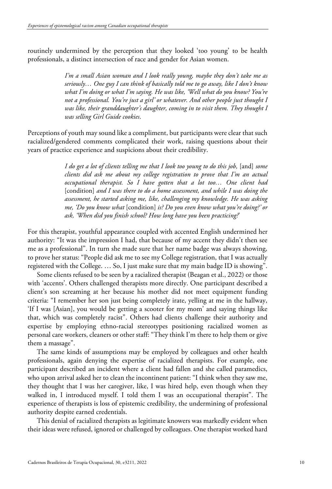routinely undermined by the perception that they looked 'too young' to be health professionals, a distinct intersection of race and gender for Asian women.

> *I'm a small Asian woman and I look really young, maybe they don't take me as seriously… One guy I can think of basically told me to go away, like I don't know what I'm doing or what I'm saying. He was like, 'Well what do you know? You're not a professional. You're just a girl' or whatever. And other people just thought I was like, their granddaughter's daughter, coming in to visit them. They thought I was selling Girl Guide cookies*.

Perceptions of youth may sound like a compliment, but participants were clear that such racialized/gendered comments complicated their work, raising questions about their years of practice experience and suspicions about their credibility.

> *I do get a lot of clients telling me that I look too young to do this job,* [and] *some clients did ask me about my college registration to prove that I'm an actual occupational therapist. So I have gotten that a lot too… One client had* [condition] *and I was there to do a home assessment, and while I was doing the assessment, he started asking me, like, challenging my knowledge. He was asking me, 'Do you know what* [condition] *is? Do you even know what you're doing?' or ask, 'When did you finish school? How long have you been practicing?*'

For this therapist, youthful appearance coupled with accented English undermined her authority: "It was the impression I had, that because of my accent they didn't then see me as a professional". In turn she made sure that her name badge was always showing, to prove her status: "People did ask me to see my College registration, that I was actually registered with the College. … So, I just make sure that my main badge ID is showing".

Some clients refused to be seen by a racialized therapist (Beagan et al., 2022) or those with 'accents'. Others challenged therapists more directly. One participant described a client's son screaming at her because his mother did not meet equipment funding criteria: "I remember her son just being completely irate, yelling at me in the hallway, 'If I was [Asian], you would be getting a scooter for my mom' and saying things like that, which was completely racist". Others had clients challenge their authority and expertise by employing ethno-racial stereotypes positioning racialized women as personal care workers, cleaners or other staff: "They think I'm there to help them or give them a massage".

The same kinds of assumptions may be employed by colleagues and other health professionals, again denying the expertise of racialized therapists. For example, one participant described an incident where a client had fallen and she called paramedics, who upon arrival asked her to clean the incontinent patient: "I think when they saw me, they thought that I was her caregiver, like, I was hired help, even though when they walked in, I introduced myself. I told them I was an occupational therapist". The experience of therapists is loss of epistemic credibility, the undermining of professional authority despite earned credentials.

This denial of racialized therapists as legitimate knowers was markedly evident when their ideas were refused, ignored or challenged by colleagues. One therapist worked hard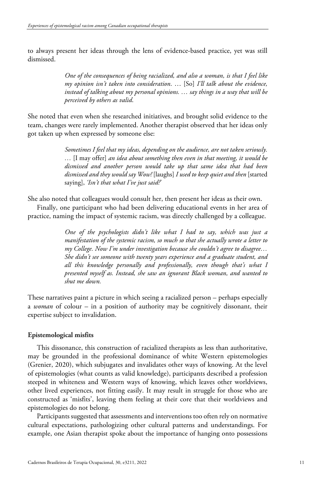to always present her ideas through the lens of evidence-based practice, yet was still dismissed.

> *One of the consequences of being racialized, and also a woman, is that I feel like my opinion isn't taken into consideration*. … [So] *I'll talk about the evidence, instead of talking about my personal opinions. … say things in a way that will be perceived by others as valid*.

She noted that even when she researched initiatives, and brought solid evidence to the team, changes were rarely implemented. Another therapist observed that her ideas only got taken up when expressed by someone else:

> *Sometimes I feel that my ideas, depending on the audience, are not taken seriously. …* [I may offer] *an idea about something then even in that meeting, it would be dismissed and another person would take up that same idea that had been dismissed and they would say Wow!* [laughs] *I used to keep quiet and then* [started saying], *'Isn't that what I've just said?*'

She also noted that colleagues would consult her, then present her ideas as their own.

Finally, one participant who had been delivering educational events in her area of practice, naming the impact of systemic racism, was directly challenged by a colleague.

> *One of the psychologists didn't like what I had to say, which was just a manifestation of the systemic racism, so much so that she actually wrote a letter to my College. Now I'm under investigation because she couldn't agree to disagree… She didn't see someone with twenty years experience and a graduate student, and all this knowledge personally and professionally, even though that's what I presented myself as. Instead, she saw an ignorant Black woman, and wanted to shut me down.*

These narratives paint a picture in which seeing a racialized person – perhaps especially a *woman* of colour – in a position of authority may be cognitively dissonant, their expertise subject to invalidation.

# **Epistemological misfits**

This dissonance, this construction of racialized therapists as less than authoritative, may be grounded in the professional dominance of white Western epistemologies (Grenier, 2020), which subjugates and invalidates other ways of knowing. At the level of epistemologies (what counts as valid knowledge), participants described a profession steeped in whiteness and Western ways of knowing, which leaves other worldviews, other lived experiences, not fitting easily. It may result in struggle for those who are constructed as 'misfits', leaving them feeling at their core that their worldviews and epistemologies do not belong.

Participants suggested that assessments and interventions too often rely on normative cultural expectations, pathologizing other cultural patterns and understandings. For example, one Asian therapist spoke about the importance of hanging onto possessions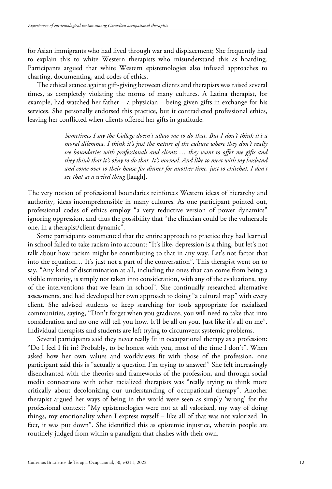for Asian immigrants who had lived through war and displacement; She frequently had to explain this to white Western therapists who misunderstand this as hoarding. Participants argued that white Western epistemologies also infused approaches to charting, documenting, and codes of ethics.

The ethical stance against gift-giving between clients and therapists was raised several times, as completely violating the norms of many cultures. A Latina therapist, for example, had watched her father – a physician – being given gifts in exchange for his services. She personally endorsed this practice, but it contradicted professional ethics, leaving her conflicted when clients offered her gifts in gratitude.

> *Sometimes I say the College doesn't allow me to do that. But I don't think it's a moral dilemma. I think it's just the nature of the culture where they don't really see boundaries with professionals and clients … they want to offer me gifts and they think that it's okay to do that. It's normal. And like to meet with my husband and come over to their house for dinner for another time, just to chitchat. I don't see that as a weird thing* [laugh].

The very notion of professional boundaries reinforces Western ideas of hierarchy and authority, ideas incomprehensible in many cultures. As one participant pointed out, professional codes of ethics employ "a very reductive version of power dynamics" ignoring oppression, and thus the possibility that "the clinician could be the vulnerable one, in a therapist/client dynamic".

Some participants commented that the entire approach to practice they had learned in school failed to take racism into account: "It's like, depression is a thing, but let's not talk about how racism might be contributing to that in any way. Let's not factor that into the equation… It's just not a part of the conversation". This therapist went on to say, "Any kind of discrimination at all, including the ones that can come from being a visible minority, is simply not taken into consideration, with any of the evaluations, any of the interventions that we learn in school". She continually researched alternative assessments, and had developed her own approach to doing "a cultural map" with every client. She advised students to keep searching for tools appropriate for racialized communities, saying, "Don't forget when you graduate, you will need to take that into consideration and no one will tell you how. It'll be all on you. Just like it's all on me". Individual therapists and students are left trying to circumvent systemic problems.

Several participants said they never really fit in occupational therapy as a profession: "Do I feel I fit in? Probably, to be honest with you, most of the time I don't". When asked how her own values and worldviews fit with those of the profession, one participant said this is "actually a question I'm trying to answer!" She felt increasingly disenchanted with the theories and frameworks of the profession, and through social media connections with other racialized therapists was "really trying to think more critically about decolonizing our understanding of occupational therapy". Another therapist argued her ways of being in the world were seen as simply 'wrong' for the professional context: "My epistemologies were not at all valorized, my way of doing things, my emotionality when I express myself – like all of that was not valorized. In fact, it was put down". She identified this as epistemic injustice, wherein people are routinely judged from within a paradigm that clashes with their own.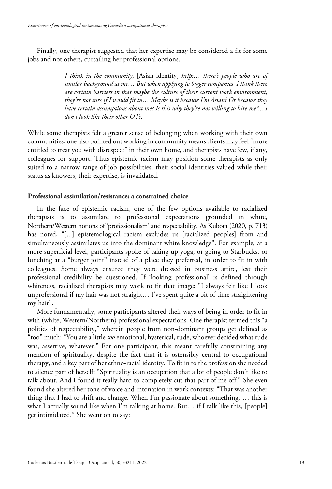Finally, one therapist suggested that her expertise may be considered a fit for some jobs and not others, curtailing her professional options.

> *I think in the community,* [Asian identity] *helps… there's people who are of similar background as me… But when applying to bigger companies, I think there are certain barriers in that maybe the culture of their current work environment, they're not sure if I would fit in… Maybe is it because I'm Asian? Or because they have certain assumptions about me? Is this why they're not willing to hire me?... I don't look like their other OTs*.

While some therapists felt a greater sense of belonging when working with their own communities, one also pointed out working in community means clients may feel "more entitled to treat you with disrespect" in their own home, and therapists have few, if any, colleagues for support. Thus epistemic racism may position some therapists as only suited to a narrow range of job possibilities, their social identities valued while their status as knowers, their expertise, is invalidated.

# **Professional assimilation/resistance: a constrained choice**

In the face of epistemic racism, one of the few options available to racialized therapists is to assimilate to professional expectations grounded in white, Northern/Western notions of 'professionalism' and respectability. As Kubota (2020, p. 713) has noted, "[...] epistemological racism excludes us [racialized peoples] from and simultaneously assimilates us into the dominant white knowledge". For example, at a more superficial level, participants spoke of taking up yoga, or going to Starbucks, or lunching at a "burger joint" instead of a place they preferred, in order to fit in with colleagues. Some always ensured they were dressed in business attire, lest their professional credibility be questioned. If 'looking professional' is defined through whiteness, racialized therapists may work to fit that image: "I always felt like I look unprofessional if my hair was not straight… I've spent quite a bit of time straightening my hair".

More fundamentally, some participants altered their ways of being in order to fit in with (white, Western/Northern) professional expectations. One therapist termed this "a politics of respectability," wherein people from non-dominant groups get defined as "too" much: "You are a little *too* emotional, hysterical, rude, whoever decided what rude was, assertive, whatever." For one participant, this meant carefully constraining any mention of spirituality, despite the fact that it is ostensibly central to occupational therapy, and a key part of her ethno-racial identity. To fit in to the profession she needed to silence part of herself: "Spirituality is an occupation that a lot of people don't like to talk about. And I found it really hard to completely cut that part of me off." She even found she altered her tone of voice and intonation in work contexts: "That was another thing that I had to shift and change. When I'm passionate about something, … this is what I actually sound like when I'm talking at home. But… if I talk like this, [people] get intimidated." She went on to say: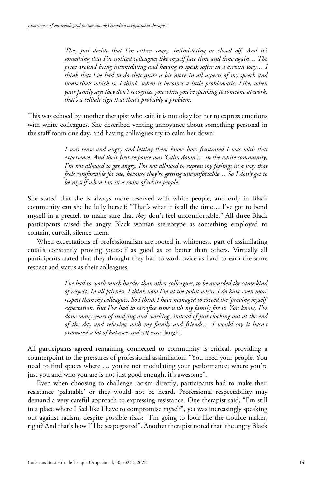*They just decide that I'm either angry, intimidating or closed off. And it's something that I've noticed colleagues like myself face time and time again… The piece around being intimidating and having to speak softer in a certain way… I think that I've had to do that quite a bit more in all aspects of my speech and nonverbals which is, I think, when it becomes a little problematic. Like, when your family says they don't recognize you when you're speaking to someone at work, that's a telltale sign that that's probably a problem*.

This was echoed by another therapist who said it is not okay for her to express emotions with white colleagues. She described venting annoyance about something personal in the staff room one day, and having colleagues try to calm her down:

> *I was tense and angry and letting them know how frustrated I was with that experience. And their first response was 'Calm down'… in the white community, I'm not allowed to get angry. I'm not allowed to express my feelings in a way that feels comfortable for me, because they're getting uncomfortable… So I don't get to be myself when I'm in a room of white people*.

She stated that she is always more reserved with white people, and only in Black community can she be fully herself: "That's what it is all the time… I've got to bend myself in a pretzel, to make sure that *they* don't feel uncomfortable." All three Black participants raised the angry Black woman stereotype as something employed to contain, curtail, silence them.

When expectations of professionalism are rooted in whiteness, part of assimilating entails constantly proving yourself as good as or better than others. Virtually all participants stated that they thought they had to work twice as hard to earn the same respect and status as their colleagues:

> *I've had to work much harder than other colleagues, to be awarded the same kind of respect. In all fairness, I think now I'm at the point where I do have even more respect than my colleagues. So I think I have managed to exceed the 'proving myself' expectation. But I've had to sacrifice time with my family for it. You know, I've done many years of studying and working, instead of just clocking out at the end of the day and relaxing with my family and friends… I would say it hasn't promoted a lot of balance and self care* [laugh].

All participants agreed remaining connected to community is critical, providing a counterpoint to the pressures of professional assimilation: "You need your people. You need to find spaces where … you're not modulating your performance; where you're just you and who you are is not just good enough, it's awesome".

Even when choosing to challenge racism directly, participants had to make their resistance 'palatable' or they would not be heard. Professional respectability may demand a very careful approach to expressing resistance. One therapist said, "I'm still in a place where I feel like I have to compromise myself", yet was increasingly speaking out against racism, despite possible risks: "I'm going to look like the trouble maker, right? And that's how I'll be scapegoated". Another therapist noted that 'the angry Black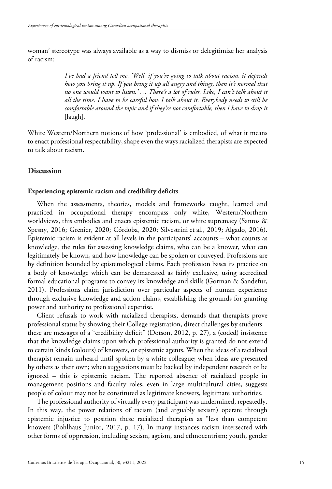woman' stereotype was always available as a way to dismiss or delegitimize her analysis of racism:

> *I've had a friend tell me, 'Well, if you're going to talk about racism, it depends how you bring it up. If you bring it up all angry and things, then it's normal that no one would want to listen.' … There's a lot of rules. Like, I can't talk about it all the time. I have to be careful how I talk about it. Everybody needs to still be comfortable around the topic and if they're not comfortable, then I have to drop it* [laugh].

White Western/Northern notions of how 'professional' is embodied, of what it means to enact professional respectability, shape even the ways racialized therapists are expected to talk about racism.

# **Discussion**

### **Experiencing epistemic racism and credibility deficits**

When the assessments, theories, models and frameworks taught, learned and practiced in occupational therapy encompass only white, Western/Northern worldviews, this embodies and enacts epistemic racism, or white supremacy (Santos & Spesny, 2016; Grenier, 2020; Córdoba, 2020; Silvestrini et al., 2019; Algado, 2016). Epistemic racism is evident at all levels in the participants' accounts – what counts as knowledge, the rules for assessing knowledge claims, who can be a knower, what can legitimately be known, and how knowledge can be spoken or conveyed. Professions are by definition bounded by epistemological claims. Each profession bases its practice on a body of knowledge which can be demarcated as fairly exclusive, using accredited formal educational programs to convey its knowledge and skills (Gorman & Sandefur, 2011). Professions claim jurisdiction over particular aspects of human experience through exclusive knowledge and action claims, establishing the grounds for granting power and authority to professional expertise.

Client refusals to work with racialized therapists, demands that therapists prove professional status by showing their College registration, direct challenges by students – these are messages of a "credibility deficit" (Dotson, 2012, p. 27), a (coded) insistence that the knowledge claims upon which professional authority is granted do not extend to certain kinds (colours) of knowers, or epistemic agents. When the ideas of a racialized therapist remain unheard until spoken by a white colleague; when ideas are presented by others as their own; when suggestions must be backed by independent research or be ignored – this is epistemic racism. The reported absence of racialized people in management positions and faculty roles, even in large multicultural cities, suggests people of colour may not be constituted as legitimate knowers, legitimate authorities.

The professional authority of virtually every participant was undermined, repeatedly. In this way, the power relations of racism (and arguably sexism) operate through epistemic injustice to position these racialized therapists as "less than competent knowers (Pohlhaus Junior, 2017, p. 17). In many instances racism intersected with other forms of oppression, including sexism, ageism, and ethnocentrism; youth, gender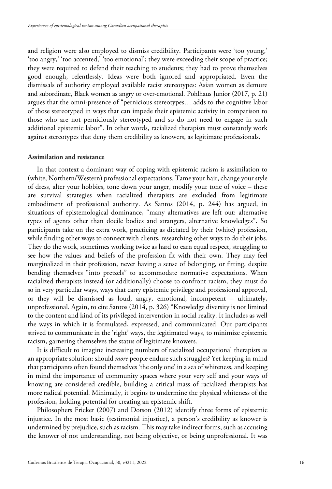and religion were also employed to dismiss credibility. Participants were 'too young,' 'too angry,' 'too accented,' 'too emotional'; they were exceeding their scope of practice; they were required to defend their teaching to students; they had to prove themselves good enough, relentlessly. Ideas were both ignored and appropriated. Even the dismissals of authority employed available racist stereotypes: Asian women as demure and subordinate, Black women as angry or over-emotional. Pohlhaus Junior (2017, p. 21) argues that the omni-presence of "pernicious stereotypes… adds to the cognitive labor of those stereotyped in ways that can impede their epistemic activity in comparison to those who are not perniciously stereotyped and so do not need to engage in such additional epistemic labor". In other words, racialized therapists must constantly work against stereotypes that deny them credibility as knowers, as legitimate professionals.

## **Assimilation and resistance**

In that context a dominant way of coping with epistemic racism is assimilation to (white, Northern/Western) professional expectations. Tame your hair, change your style of dress, alter your hobbies, tone down your anger, modify your tone of voice – these are survival strategies when racialized therapists are excluded from legitimate embodiment of professional authority. As Santos (2014, p. 244) has argued, in situations of epistemological dominance, "many alternatives are left out: alternative types of agents other than docile bodies and strangers, alternative knowledges". So participants take on the extra work, practicing as dictated by their (white) profession, while finding other ways to connect with clients, researching other ways to do their jobs. They do the work, sometimes working twice as hard to earn equal respect, struggling to see how the values and beliefs of the profession fit with their own. They may feel marginalized in their profession, never having a sense of belonging, or fitting, despite bending themselves "into pretzels" to accommodate normative expectations. When racialized therapists instead (or additionally) choose to confront racism, they must do so in very particular ways, ways that carry epistemic privilege and professional approval, or they will be dismissed as loud, angry, emotional, incompetent – ultimately, unprofessional. Again, to cite Santos (2014, p. 326) "Knowledge diversity is not limited to the content and kind of its privileged intervention in social reality. It includes as well the ways in which it is formulated, expressed, and communicated. Our participants strived to communicate in the 'right' ways, the legitimated ways, to minimize epistemic racism, garnering themselves the status of legitimate knowers.

It is difficult to imagine increasing numbers of racialized occupational therapists as an appropriate solution: should *more* people endure such struggles? Yet keeping in mind that participants often found themselves 'the only one' in a sea of whiteness, and keeping in mind the importance of community spaces where your very self and your ways of knowing are considered credible, building a critical mass of racialized therapists has more radical potential. Minimally, it begins to undermine the physical whiteness of the profession, holding potential for creating an epistemic shift.

Philosophers Fricker (2007) and Dotson (2012) identify three forms of epistemic injustice. In the most basic (testimonial injustice), a person's credibility as knower is undermined by prejudice, such as racism. This may take indirect forms, such as accusing the knower of not understanding, not being objective, or being unprofessional. It was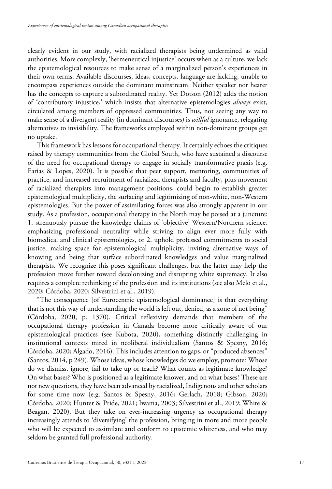clearly evident in our study, with racialized therapists being undermined as valid authorities. More complexly, 'hermeneutical injustice' occurs when as a culture, we lack the epistemological resources to make sense of a marginalized person's experiences in their own terms. Available discourses, ideas, concepts, language are lacking, unable to encompass experiences outside the dominant mainstream. Neither speaker nor hearer has the concepts to capture a subordinated reality. Yet Dotson (2012) adds the notion of 'contributory injustice,' which insists that alternative epistemologies *always* exist, circulated among members of oppressed communities. Thus, not seeing any way to make sense of a divergent reality (in dominant discourses) is *willful* ignorance, relegating alternatives to invisibility. The frameworks employed within non-dominant groups get no uptake.

This framework has lessons for occupational therapy. It certainly echoes the critiques raised by therapy communities from the Global South, who have sustained a discourse of the need for occupational therapy to engage in socially transformative praxis (e.g. Farias & Lopes, 2020). It is possible that peer support, mentoring, communities of practice, and increased recruitment of racialized therapists and faculty, plus movement of racialized therapists into management positions, could begin to establish greater epistemological multiplicity, the surfacing and legitimizing of non-white, non-Western epistemologies. But the power of assimilating forces was also strongly apparent in our study. As a profession, occupational therapy in the North may be poised at a juncture: 1. strenuously pursue the knowledge claims of 'objective' Western/Northern science, emphasizing professional neutrality while striving to align ever more fully with biomedical and clinical epistemologies, or 2. uphold professed commitments to social justice, making space for epistemological multiplicity, inviting alternative ways of knowing and being that surface subordinated knowledges and value marginalized therapists. We recognize this poses significant challenges, but the latter may help the profession move further toward decolonizing and disrupting white supremacy. It also requires a complete rethinking of the profession and its institutions (see also Melo et al., 2020; Córdoba, 2020; Silvestrini et al., 2019).

"The consequence [of Eurocentric epistemological dominance] is that everything that is not this way of understanding the world is left out, denied, as a zone of not being" (Córdoba, 2020, p. 1370). Critical reflexivity demands that members of the occupational therapy profession in Canada become more critically aware of our epistemological practices (see Kubota, 2020), something distinctly challenging in institutional contexts mired in neoliberal individualism (Santos & Spesny, 2016; Córdoba, 2020; Algado, 2016). This includes attention to gaps, or "produced absences" (Santos, 2014, p 249). Whose ideas, whose knowledges do we employ, promote? Whose do we dismiss, ignore, fail to take up or teach? What counts as legitimate knowledge? On what bases? Who is positioned as a legitimate knower, and on what bases? These are not new questions, they have been advanced by racialized, Indigenous and other scholars for some time now (e.g. Santos & Spesny, 2016; Gerlach, 2018; Gibson, 2020; Córdoba, 2020; Hunter & Pride, 2021; Iwama, 2003; Silvestrini et al., 2019; White & Beagan, 2020). But they take on ever-increasing urgency as occupational therapy increasingly attends to 'diversifying' the profession, bringing in more and more people who will be expected to assimilate and conform to epistemic whiteness, and who may seldom be granted full professional authority.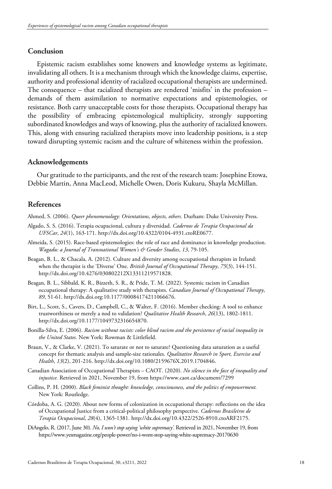# **Conclusion**

Epistemic racism establishes some knowers and knowledge systems as legitimate, invalidating all others. It is a mechanism through which the knowledge claims, expertise, authority and professional identity of racialized occupational therapists are undermined. The consequence – that racialized therapists are rendered 'misfits' in the profession – demands of them assimilation to normative expectations and epistemologies, or resistance. Both carry unacceptable costs for those therapists. Occupational therapy has the possibility of embracing epistemological multiplicity, strongly supporting subordinated knowledges and ways of knowing, plus the authority of racialized knowers. This, along with ensuring racialized therapists move into leadership positions, is a step toward disrupting systemic racism and the culture of whiteness within the profession.

# **Acknowledgements**

Our gratitude to the participants, and the rest of the research team: Josephine Etowa, Debbie Martin, Anna MacLeod, Michelle Owen, Doris Kukuru, Shayla McMillan.

# **References**

Ahmed, S. (2006). *Queer phenomenology: Orientations, objects, others.* Durham: Duke University Press.

- Algado, S. S. (2016). Terapia ocupacional, cultura y diversidad. *Cadernos de Terapia Ocupacional da UFSCar*, *24*(1), 163-171[. http://dx.doi.org/10.4322/0104-4931.ctoRE0677.](https://doi.org/10.4322/0104-4931.ctoRE0677)
- Almeida, S. (2015). Race-based epistemologies: the role of race and dominance in knowledge production. *Wagadu: a Journal of Transnational Women's & Gender Studies*, *13*, 79-105.
- Beagan, B. L., & Chacala, A. (2012). Culture and diversity among occupational therapists in Ireland: when the therapist is the 'Diverse' One. *British Journal of Occupational Therapy*, *75*(3), 144-151. [http://dx.doi.org/10.4276/030802212X13311219571828.](https://doi.org/10.4276/030802212X13311219571828)
- Beagan, B. L., Sibbald, K. R., Bizzeth, S. R., & Pride, T. M. (2022). Systemic racism in Canadian occupational therapy: A qualitative study with therapists. *Canadian Journal of Occupational Therapy*, *89*, 51-61. http://dx.doi.org:10.1177/00084174211066676.
- Birt, L., Scott, S., Cavers, D., Campbell, C., & Walter, F. (2016). Member checking: A tool to enhance trustworthiness or merely a nod to validation? *Qualitative Health Research*, *26*(13), 1802-1811. [http://dx.doi.org/10.1177/1049732316654870.](https://doi.org/10.1177/1049732316654870)
- Bonilla-Silva, E. (2006). *Racism without racists: color blind racism and the persistence of racial inequality in the United States.* New York: Rowman & Littlefield.
- Braun, V., & Clarke, V. (2021). To saturate or not to saturate? Questioning data saturation as a useful concept for thematic analysis and sample-size rationales. *Qualitative Research in Sport, Exercise and Health*, *13*(2), 201-216. [http://dx.doi.org/10.1080/2159676X.2019.1704846.](https://doi.org/10.1080/2159676X.2019.1704846)
- Canadian Association of Occupational Therapists CAOT. (2020). *No silence in the face of inequality and injustice.* Retrieved in 2021, November 19, from https://www.caot.ca/document/7299
- Collins, P. H. (2000). *Black feminist thought: knowledge, consciousness, and the politics of empowerment.* New York: Routledge.
- Córdoba, A. G. (2020). About new forms of colonization in occupational therapy: reflections on the idea of Occupational Justice from a critical-political philosophy perspective. *Cadernos Brasileiros de Terapia Ocupacional*, *28*(4), 1365-1381. [http://dx.doi.org/10.4322/2526-8910.ctoARF2175.](https://doi.org/10.4322/2526-8910.ctoARF2175)
- DiAngelo, R. (2017, June 30). *No, I won't stop saying 'white supremacy'.* Retrieved in 2021, November 19, from https://www.yesmagazine.org/people-power/no-i-wont-stop-saying-white-supremacy-20170630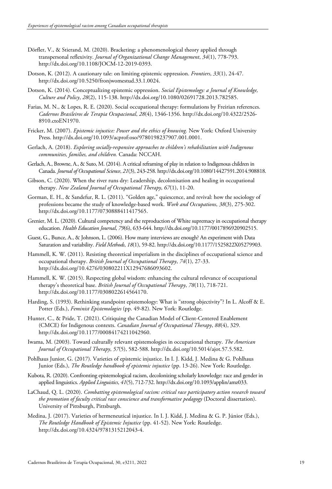- Dörfler, V., & Stierand, M. (2020). Bracketing: a phenomenological theory applied through transpersonal reflexivity. *Journal of Organizational Change Management*, *34*(1), 778-793. http://dx.doi.org/10.1108/JOCM-12-2019-0393.
- Dotson, K. (2012). A cautionary tale: on limiting epistemic oppression. *Frontiers*, *33*(1), 24-47. [http://dx.doi.org/10.5250/fronjwomestud.33.1.0024.](https://doi.org/10.5250/fronjwomestud.33.1.0024)
- Dotson, K. (2014). Conceptualizing epistemic oppression. *Social Epistemology: a Journal of Knowledge, Culture and Policy*, *28*(2), 115-138. [http://dx.doi.org/10.1080/02691728.2013.782585.](https://doi.org/10.1080/02691728.2013.782585)
- Farias, M. N., & Lopes, R. E. (2020). Social occupational therapy: formulations by Freirian references. *Cadernos Brasileiros de Terapia Ocupacional*, *28*(4), 1346-1356. [http://dx.doi.org/10.4322/2526-](https://doi.org/10.4322/2526-8910.ctoEN1970) [8910.ctoEN1970.](https://doi.org/10.4322/2526-8910.ctoEN1970)
- Fricker, M. (2007). *Epistemic injustice: Power and the ethics of knowing.* New York: Oxford University Press. [http://dx.doi.org/10.1093/acprof:oso/9780198237907.001.0001.](https://doi.org/10.1093/acprof:oso/9780198237907.001.0001)
- Gerlach, A. (2018). *Exploring socially-responsive approaches to children's rehabilitation with Indigenous communities, families, and children.* Canada: NCCAH.
- Gerlach, A., Browne, A., & Suto, M. (2014). A critical reframing of play in relation to Indigenous children in Canada. *Journal of Occupational Science*, *21*(3), 243-258[. http://dx.doi.org/10.1080/14427591.2014.908818.](https://doi.org/10.1080/14427591.2014.908818)
- Gibson, C. (2020). When the river runs dry: Leadership, decolonisation and healing in occupational therapy. *New Zealand Journal of Occupational Therapy*, *67*(1), 11-20.
- Gorman, E. H., & Sandefur, R. L. (2011). "Golden age," quiescence, and revival: how the sociology of professions became the study of knowledge-based work. *Work and Occupations*, *38*(3), 275-302. [http://dx.doi.org/10.1177/0730888411417565.](https://doi.org/10.1177/0730888411417565)
- Grenier, M. L. (2020). Cultural competency and the reproduction of White supremacy in occupational therapy education. *Health Education Journal*, *79*(6), 633-644. [http://dx.doi.org/10.1177/0017896920902515.](https://doi.org/10.1177/0017896920902515)
- Guest, G., Bunce, A., & Johnson, L. (2006). How many interviews are enough? An experiment with Data Saturation and variability. *Field Methods*, *18*(1), 59-82[. http://dx.doi.org/10.1177/1525822X05279903.](https://doi.org/10.1177/1525822X05279903)
- Hammell, K. W. (2011). Resisting theoretical imperialism in the disciplines of occupational science and occupational therapy. *British Journal of Occupational Therapy*, *74*(1), 27-33. [http://dx.doi.org/10.4276/030802211X12947686093602.](https://doi.org/10.4276/030802211X12947686093602)
- Hammell, K. W. (2015). Respecting global wisdom: enhancing the cultural relevance of occupational therapy's theoretical base. *British Journal of Occupational Therapy*, *78*(11), 718-721. [http://dx.doi.org/10.1177/0308022614564170.](https://doi.org/10.1177/0308022614564170)
- Harding, S. (1993). Rethinking standpoint epistemology: What is "strong objectivity"? In L. Alcoff & E. Potter (Eds.), *Feminist Epistemologies* (pp. 49-82). New York: Routledge.
- Hunter, C., & Pride, T. (2021). Critiquing the Canadian Model of Client-Centered Enablement (CMCE) for Indigenous contexts. *Canadian Journal of Occupational Therapy*, *88*(4), 329. [http://dx.doi.org/10.1177/00084174211042960.](https://doi.org/10.1177/00084174211042960)
- Iwama, M. (2003). Toward culturally relevant epistemologies in occupational therapy. *The American Journal of Occupational Therapy*, *57*(5), 582-588. [http://dx.doi.org/10.5014/ajot.57.5.582.](https://doi.org/10.5014/ajot.57.5.582)
- Pohlhaus Junior, G. (2017). Varieties of epistemic injustice. In I. J. Kidd, J. Medina & G. Pohlhaus Junior (Eds.), *The Routledge handbook of epistemic injustice* (pp. 13-26). New York: Routledge.
- Kubota, R. (2020). Confronting epistemological racism, decolonizing scholarly knowledge: race and gender in applied linguistics. *Applied Linguistics*, *41*(5), 712-732[. http://dx.doi.org/10.1093/applin/amz033.](https://doi.org/10.1093/applin/amz033)
- LaChaud, Q. L. (2020). *Combatting epistemological racism: critical race participatory action research toward the promotion of faculty critical race conscience and transformative pedagogy* (Doctoral dissertation). University of Pittsburgh, Pittsburgh.
- Medina, J. (2017). Varieties of hermeneutical injustice. In I. J. Kidd, J. Medina & G. P. Júnior (Eds.), *The Routledge Handbook of Epistemic Injustice* (pp. 41-52). New York: Routledge. [http://dx.doi.org/10.4324/9781315212043-4.](https://doi.org/10.4324/9781315212043-4)